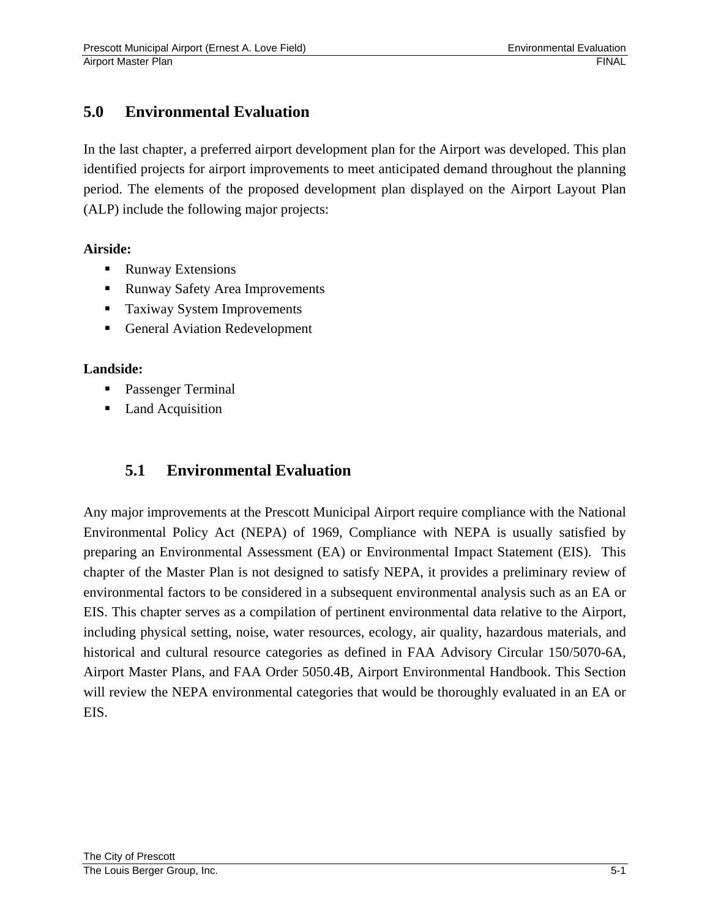# **5.0 Environmental Evaluation**

In the last chapter, a preferred airport development plan for the Airport was developed. This plan identified projects for airport improvements to meet anticipated demand throughout the planning period. The elements of the proposed development plan displayed on the Airport Layout Plan (ALP) include the following major projects:

#### **Airside:**

- Runway Extensions
- Runway Safety Area Improvements
- **Taxiway System Improvements**
- **General Aviation Redevelopment**

#### **Landside:**

- **Passenger Terminal**
- Land Acquisition

# **5.1 Environmental Evaluation**

Any major improvements at the Prescott Municipal Airport require compliance with the National Environmental Policy Act (NEPA) of 1969, Compliance with NEPA is usually satisfied by preparing an Environmental Assessment (EA) or Environmental Impact Statement (EIS). This chapter of the Master Plan is not designed to satisfy NEPA, it provides a preliminary review of environmental factors to be considered in a subsequent environmental analysis such as an EA or EIS. This chapter serves as a compilation of pertinent environmental data relative to the Airport, including physical setting, noise, water resources, ecology, air quality, hazardous materials, and historical and cultural resource categories as defined in FAA Advisory Circular 150/5070-6A, Airport Master Plans, and FAA Order 5050.4B, Airport Environmental Handbook. This Section will review the NEPA environmental categories that would be thoroughly evaluated in an EA or EIS.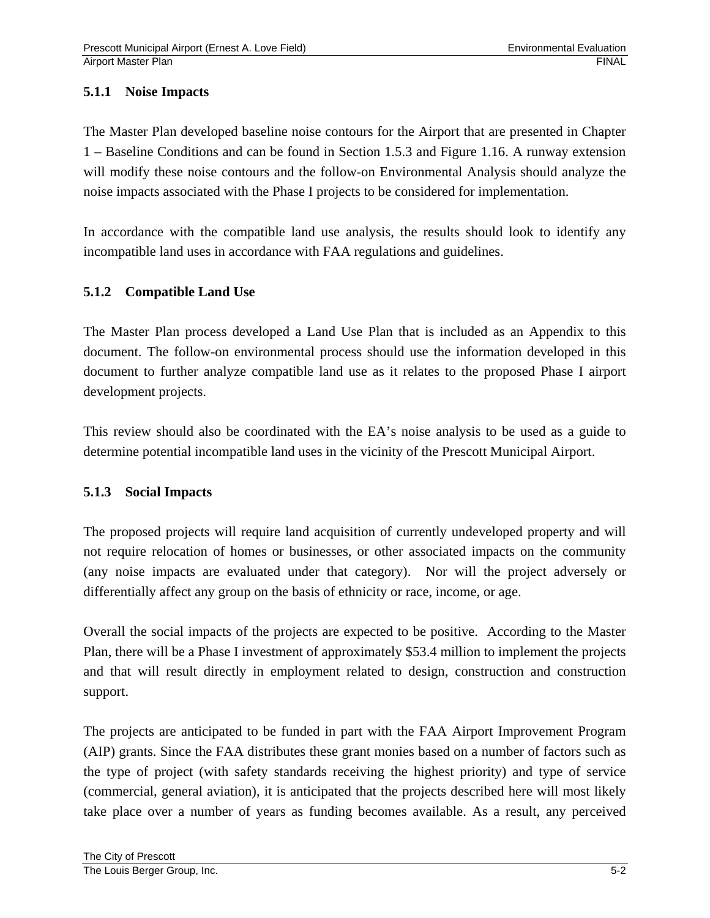## **5.1.1 Noise Impacts**

The Master Plan developed baseline noise contours for the Airport that are presented in Chapter 1 – Baseline Conditions and can be found in Section 1.5.3 and Figure 1.16. A runway extension will modify these noise contours and the follow-on Environmental Analysis should analyze the noise impacts associated with the Phase I projects to be considered for implementation.

In accordance with the compatible land use analysis, the results should look to identify any incompatible land uses in accordance with FAA regulations and guidelines.

## **5.1.2 Compatible Land Use**

The Master Plan process developed a Land Use Plan that is included as an Appendix to this document. The follow-on environmental process should use the information developed in this document to further analyze compatible land use as it relates to the proposed Phase I airport development projects.

This review should also be coordinated with the EA's noise analysis to be used as a guide to determine potential incompatible land uses in the vicinity of the Prescott Municipal Airport.

## **5.1.3 Social Impacts**

The proposed projects will require land acquisition of currently undeveloped property and will not require relocation of homes or businesses, or other associated impacts on the community (any noise impacts are evaluated under that category). Nor will the project adversely or differentially affect any group on the basis of ethnicity or race, income, or age.

Overall the social impacts of the projects are expected to be positive. According to the Master Plan, there will be a Phase I investment of approximately \$53.4 million to implement the projects and that will result directly in employment related to design, construction and construction support.

The projects are anticipated to be funded in part with the FAA Airport Improvement Program (AIP) grants. Since the FAA distributes these grant monies based on a number of factors such as the type of project (with safety standards receiving the highest priority) and type of service (commercial, general aviation), it is anticipated that the projects described here will most likely take place over a number of years as funding becomes available. As a result, any perceived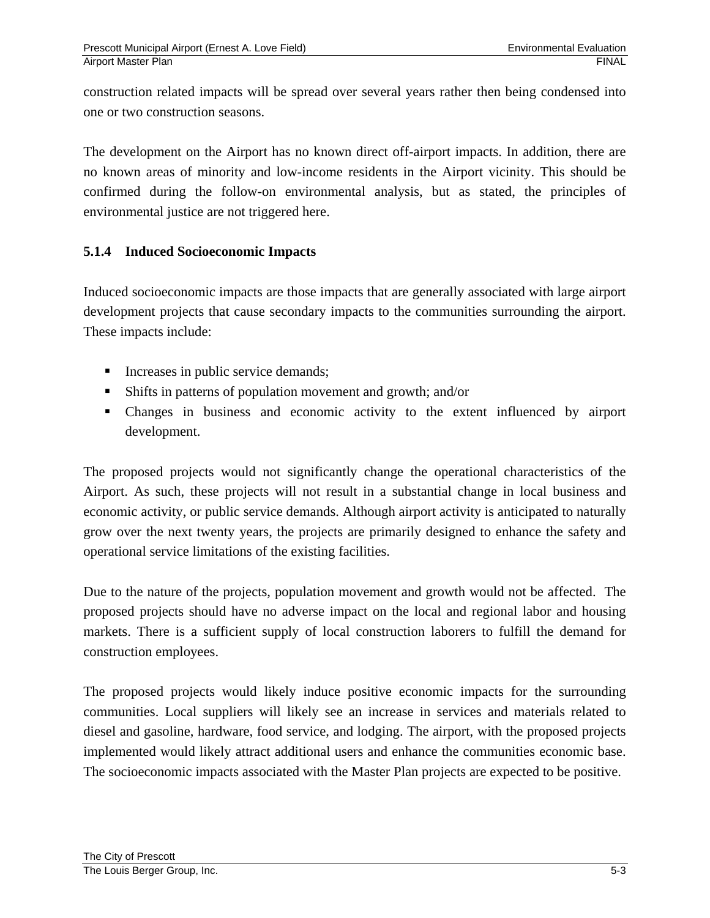construction related impacts will be spread over several years rather then being condensed into one or two construction seasons.

The development on the Airport has no known direct off-airport impacts. In addition, there are no known areas of minority and low-income residents in the Airport vicinity. This should be confirmed during the follow-on environmental analysis, but as stated, the principles of environmental justice are not triggered here.

## **5.1.4 Induced Socioeconomic Impacts**

Induced socioeconomic impacts are those impacts that are generally associated with large airport development projects that cause secondary impacts to the communities surrounding the airport. These impacts include:

- Increases in public service demands;
- Shifts in patterns of population movement and growth; and/or
- Changes in business and economic activity to the extent influenced by airport development.

The proposed projects would not significantly change the operational characteristics of the Airport. As such, these projects will not result in a substantial change in local business and economic activity, or public service demands. Although airport activity is anticipated to naturally grow over the next twenty years, the projects are primarily designed to enhance the safety and operational service limitations of the existing facilities.

Due to the nature of the projects, population movement and growth would not be affected. The proposed projects should have no adverse impact on the local and regional labor and housing markets. There is a sufficient supply of local construction laborers to fulfill the demand for construction employees.

The proposed projects would likely induce positive economic impacts for the surrounding communities. Local suppliers will likely see an increase in services and materials related to diesel and gasoline, hardware, food service, and lodging. The airport, with the proposed projects implemented would likely attract additional users and enhance the communities economic base. The socioeconomic impacts associated with the Master Plan projects are expected to be positive.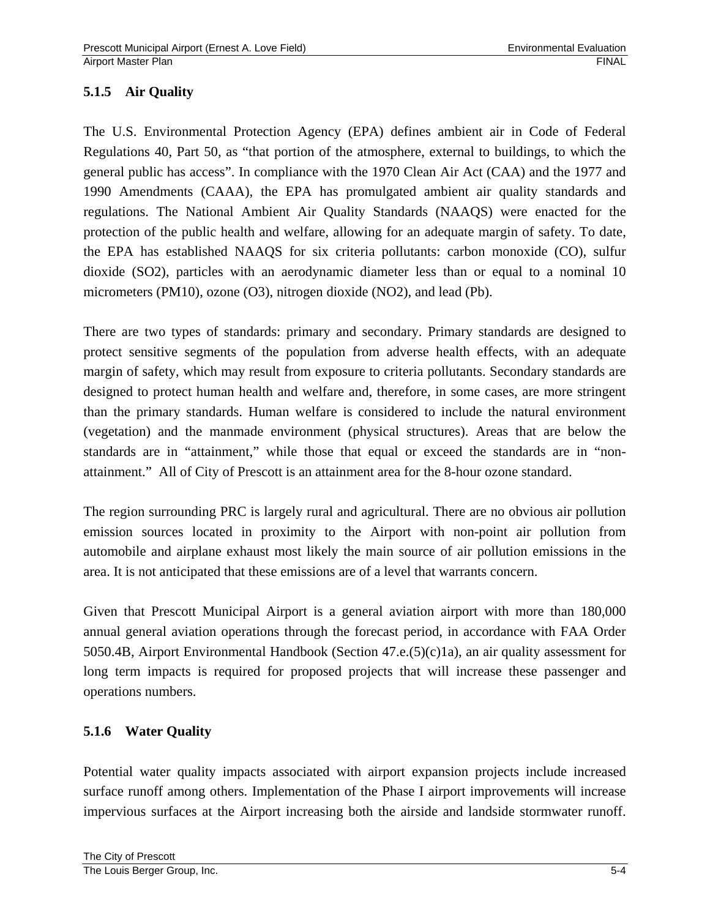## **5.1.5 Air Quality**

The U.S. Environmental Protection Agency (EPA) defines ambient air in Code of Federal Regulations 40, Part 50, as "that portion of the atmosphere, external to buildings, to which the general public has access". In compliance with the 1970 Clean Air Act (CAA) and the 1977 and 1990 Amendments (CAAA), the EPA has promulgated ambient air quality standards and regulations. The National Ambient Air Quality Standards (NAAQS) were enacted for the protection of the public health and welfare, allowing for an adequate margin of safety. To date, the EPA has established NAAQS for six criteria pollutants: carbon monoxide (CO), sulfur dioxide (SO2), particles with an aerodynamic diameter less than or equal to a nominal 10 micrometers (PM10), ozone (O3), nitrogen dioxide (NO2), and lead (Pb).

There are two types of standards: primary and secondary. Primary standards are designed to protect sensitive segments of the population from adverse health effects, with an adequate margin of safety, which may result from exposure to criteria pollutants. Secondary standards are designed to protect human health and welfare and, therefore, in some cases, are more stringent than the primary standards. Human welfare is considered to include the natural environment (vegetation) and the manmade environment (physical structures). Areas that are below the standards are in "attainment," while those that equal or exceed the standards are in "nonattainment." All of City of Prescott is an attainment area for the 8-hour ozone standard.

The region surrounding PRC is largely rural and agricultural. There are no obvious air pollution emission sources located in proximity to the Airport with non-point air pollution from automobile and airplane exhaust most likely the main source of air pollution emissions in the area. It is not anticipated that these emissions are of a level that warrants concern.

Given that Prescott Municipal Airport is a general aviation airport with more than 180,000 annual general aviation operations through the forecast period, in accordance with FAA Order 5050.4B, Airport Environmental Handbook (Section 47.e.(5)(c)1a), an air quality assessment for long term impacts is required for proposed projects that will increase these passenger and operations numbers.

## **5.1.6 Water Quality**

Potential water quality impacts associated with airport expansion projects include increased surface runoff among others. Implementation of the Phase I airport improvements will increase impervious surfaces at the Airport increasing both the airside and landside stormwater runoff.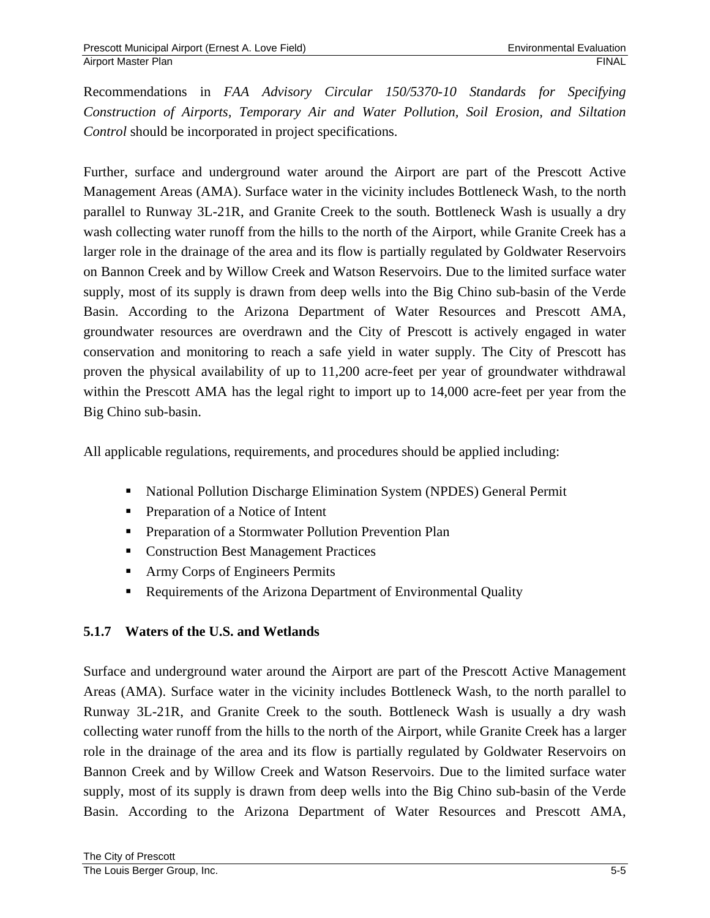Recommendations in *FAA Advisory Circular 150/5370-10 Standards for Specifying Construction of Airports, Temporary Air and Water Pollution, Soil Erosion, and Siltation Control* should be incorporated in project specifications.

Further, surface and underground water around the Airport are part of the Prescott Active Management Areas (AMA). Surface water in the vicinity includes Bottleneck Wash, to the north parallel to Runway 3L-21R, and Granite Creek to the south. Bottleneck Wash is usually a dry wash collecting water runoff from the hills to the north of the Airport, while Granite Creek has a larger role in the drainage of the area and its flow is partially regulated by Goldwater Reservoirs on Bannon Creek and by Willow Creek and Watson Reservoirs. Due to the limited surface water supply, most of its supply is drawn from deep wells into the Big Chino sub-basin of the Verde Basin. According to the Arizona Department of Water Resources and Prescott AMA, groundwater resources are overdrawn and the City of Prescott is actively engaged in water conservation and monitoring to reach a safe yield in water supply. The City of Prescott has proven the physical availability of up to 11,200 acre-feet per year of groundwater withdrawal within the Prescott AMA has the legal right to import up to 14,000 acre-feet per year from the Big Chino sub-basin.

All applicable regulations, requirements, and procedures should be applied including:

- National Pollution Discharge Elimination System (NPDES) General Permit
- Preparation of a Notice of Intent
- **Preparation of a Stormwater Pollution Prevention Plan**
- **Construction Best Management Practices**
- Army Corps of Engineers Permits
- Requirements of the Arizona Department of Environmental Quality

## **5.1.7 Waters of the U.S. and Wetlands**

Surface and underground water around the Airport are part of the Prescott Active Management Areas (AMA). Surface water in the vicinity includes Bottleneck Wash, to the north parallel to Runway 3L-21R, and Granite Creek to the south. Bottleneck Wash is usually a dry wash collecting water runoff from the hills to the north of the Airport, while Granite Creek has a larger role in the drainage of the area and its flow is partially regulated by Goldwater Reservoirs on Bannon Creek and by Willow Creek and Watson Reservoirs. Due to the limited surface water supply, most of its supply is drawn from deep wells into the Big Chino sub-basin of the Verde Basin. According to the Arizona Department of Water Resources and Prescott AMA,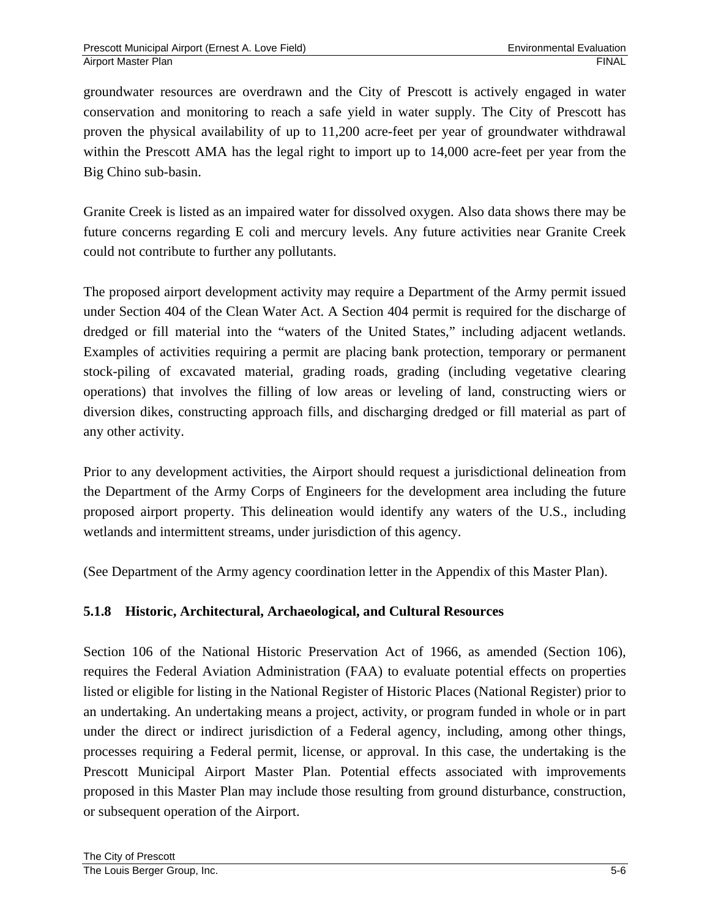groundwater resources are overdrawn and the City of Prescott is actively engaged in water conservation and monitoring to reach a safe yield in water supply. The City of Prescott has proven the physical availability of up to 11,200 acre-feet per year of groundwater withdrawal within the Prescott AMA has the legal right to import up to 14,000 acre-feet per year from the Big Chino sub-basin.

Granite Creek is listed as an impaired water for dissolved oxygen. Also data shows there may be future concerns regarding E coli and mercury levels. Any future activities near Granite Creek could not contribute to further any pollutants.

The proposed airport development activity may require a Department of the Army permit issued under Section 404 of the Clean Water Act. A Section 404 permit is required for the discharge of dredged or fill material into the "waters of the United States," including adjacent wetlands. Examples of activities requiring a permit are placing bank protection, temporary or permanent stock-piling of excavated material, grading roads, grading (including vegetative clearing operations) that involves the filling of low areas or leveling of land, constructing wiers or diversion dikes, constructing approach fills, and discharging dredged or fill material as part of any other activity.

Prior to any development activities, the Airport should request a jurisdictional delineation from the Department of the Army Corps of Engineers for the development area including the future proposed airport property. This delineation would identify any waters of the U.S., including wetlands and intermittent streams, under jurisdiction of this agency.

(See Department of the Army agency coordination letter in the Appendix of this Master Plan).

## **5.1.8 Historic, Architectural, Archaeological, and Cultural Resources**

Section 106 of the National Historic Preservation Act of 1966, as amended (Section 106), requires the Federal Aviation Administration (FAA) to evaluate potential effects on properties listed or eligible for listing in the National Register of Historic Places (National Register) prior to an undertaking. An undertaking means a project, activity, or program funded in whole or in part under the direct or indirect jurisdiction of a Federal agency, including, among other things, processes requiring a Federal permit, license, or approval. In this case, the undertaking is the Prescott Municipal Airport Master Plan. Potential effects associated with improvements proposed in this Master Plan may include those resulting from ground disturbance, construction, or subsequent operation of the Airport.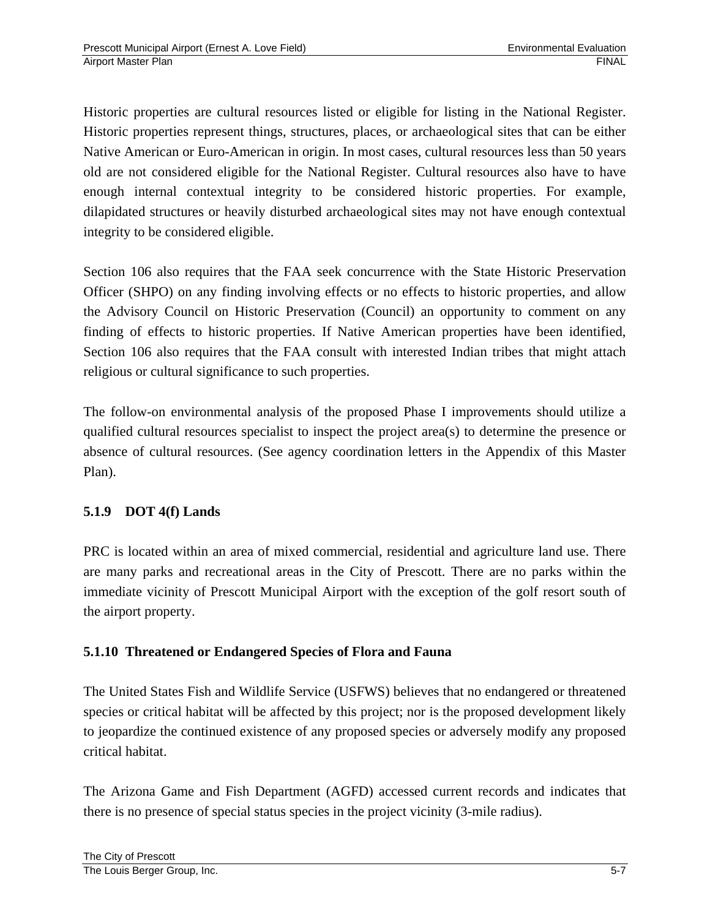Historic properties are cultural resources listed or eligible for listing in the National Register. Historic properties represent things, structures, places, or archaeological sites that can be either Native American or Euro-American in origin. In most cases, cultural resources less than 50 years old are not considered eligible for the National Register. Cultural resources also have to have enough internal contextual integrity to be considered historic properties. For example, dilapidated structures or heavily disturbed archaeological sites may not have enough contextual integrity to be considered eligible.

Section 106 also requires that the FAA seek concurrence with the State Historic Preservation Officer (SHPO) on any finding involving effects or no effects to historic properties, and allow the Advisory Council on Historic Preservation (Council) an opportunity to comment on any finding of effects to historic properties. If Native American properties have been identified, Section 106 also requires that the FAA consult with interested Indian tribes that might attach religious or cultural significance to such properties.

The follow-on environmental analysis of the proposed Phase I improvements should utilize a qualified cultural resources specialist to inspect the project area(s) to determine the presence or absence of cultural resources. (See agency coordination letters in the Appendix of this Master Plan).

## **5.1.9 DOT 4(f) Lands**

PRC is located within an area of mixed commercial, residential and agriculture land use. There are many parks and recreational areas in the City of Prescott. There are no parks within the immediate vicinity of Prescott Municipal Airport with the exception of the golf resort south of the airport property.

## **5.1.10 Threatened or Endangered Species of Flora and Fauna**

The United States Fish and Wildlife Service (USFWS) believes that no endangered or threatened species or critical habitat will be affected by this project; nor is the proposed development likely to jeopardize the continued existence of any proposed species or adversely modify any proposed critical habitat.

The Arizona Game and Fish Department (AGFD) accessed current records and indicates that there is no presence of special status species in the project vicinity (3-mile radius).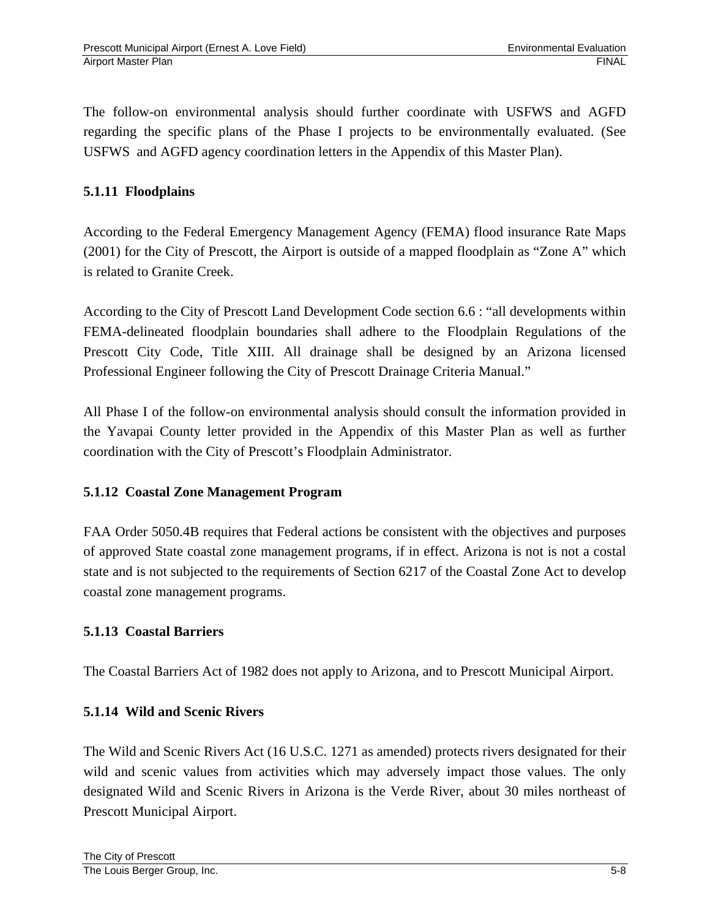The follow-on environmental analysis should further coordinate with USFWS and AGFD regarding the specific plans of the Phase I projects to be environmentally evaluated. (See USFWS and AGFD agency coordination letters in the Appendix of this Master Plan).

## **5.1.11 Floodplains**

According to the Federal Emergency Management Agency (FEMA) flood insurance Rate Maps (2001) for the City of Prescott, the Airport is outside of a mapped floodplain as "Zone A" which is related to Granite Creek.

According to the City of Prescott Land Development Code section 6.6 : "all developments within FEMA-delineated floodplain boundaries shall adhere to the Floodplain Regulations of the Prescott City Code, Title XIII. All drainage shall be designed by an Arizona licensed Professional Engineer following the City of Prescott Drainage Criteria Manual."

All Phase I of the follow-on environmental analysis should consult the information provided in the Yavapai County letter provided in the Appendix of this Master Plan as well as further coordination with the City of Prescott's Floodplain Administrator.

## **5.1.12 Coastal Zone Management Program**

FAA Order 5050.4B requires that Federal actions be consistent with the objectives and purposes of approved State coastal zone management programs, if in effect. Arizona is not is not a costal state and is not subjected to the requirements of Section 6217 of the Coastal Zone Act to develop coastal zone management programs.

## **5.1.13 Coastal Barriers**

The Coastal Barriers Act of 1982 does not apply to Arizona, and to Prescott Municipal Airport.

## **5.1.14 Wild and Scenic Rivers**

The Wild and Scenic Rivers Act (16 U.S.C. 1271 as amended) protects rivers designated for their wild and scenic values from activities which may adversely impact those values. The only designated Wild and Scenic Rivers in Arizona is the Verde River, about 30 miles northeast of Prescott Municipal Airport.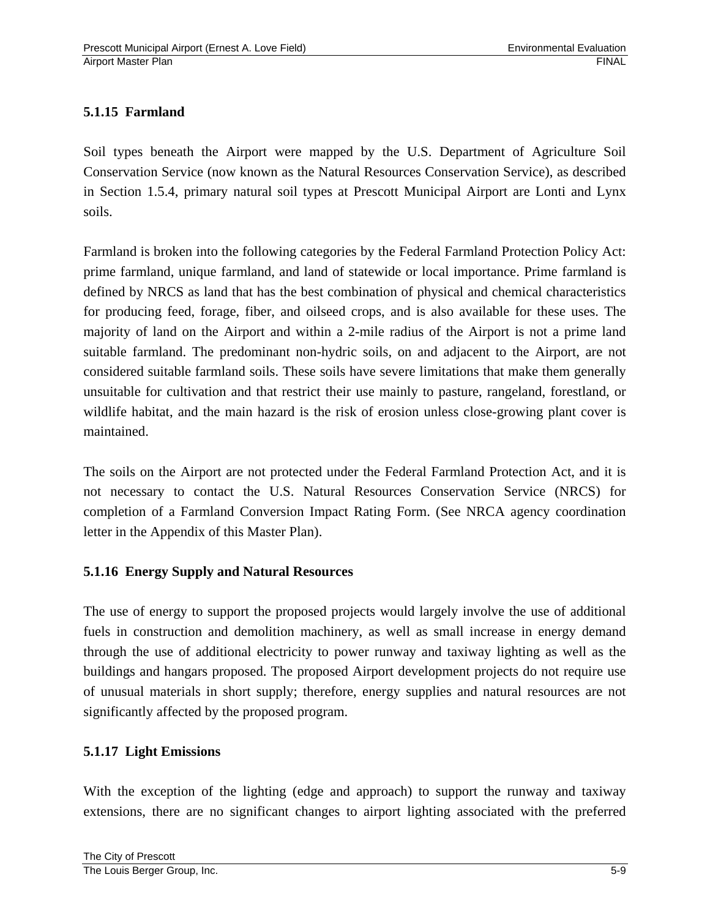## **5.1.15 Farmland**

Soil types beneath the Airport were mapped by the U.S. Department of Agriculture Soil Conservation Service (now known as the Natural Resources Conservation Service), as described in Section 1.5.4, primary natural soil types at Prescott Municipal Airport are Lonti and Lynx soils.

Farmland is broken into the following categories by the Federal Farmland Protection Policy Act: prime farmland, unique farmland, and land of statewide or local importance. Prime farmland is defined by NRCS as land that has the best combination of physical and chemical characteristics for producing feed, forage, fiber, and oilseed crops, and is also available for these uses. The majority of land on the Airport and within a 2-mile radius of the Airport is not a prime land suitable farmland. The predominant non-hydric soils, on and adjacent to the Airport, are not considered suitable farmland soils. These soils have severe limitations that make them generally unsuitable for cultivation and that restrict their use mainly to pasture, rangeland, forestland, or wildlife habitat, and the main hazard is the risk of erosion unless close-growing plant cover is maintained.

The soils on the Airport are not protected under the Federal Farmland Protection Act, and it is not necessary to contact the U.S. Natural Resources Conservation Service (NRCS) for completion of a Farmland Conversion Impact Rating Form. (See NRCA agency coordination letter in the Appendix of this Master Plan).

## **5.1.16 Energy Supply and Natural Resources**

The use of energy to support the proposed projects would largely involve the use of additional fuels in construction and demolition machinery, as well as small increase in energy demand through the use of additional electricity to power runway and taxiway lighting as well as the buildings and hangars proposed. The proposed Airport development projects do not require use of unusual materials in short supply; therefore, energy supplies and natural resources are not significantly affected by the proposed program.

## **5.1.17 Light Emissions**

With the exception of the lighting (edge and approach) to support the runway and taxiway extensions, there are no significant changes to airport lighting associated with the preferred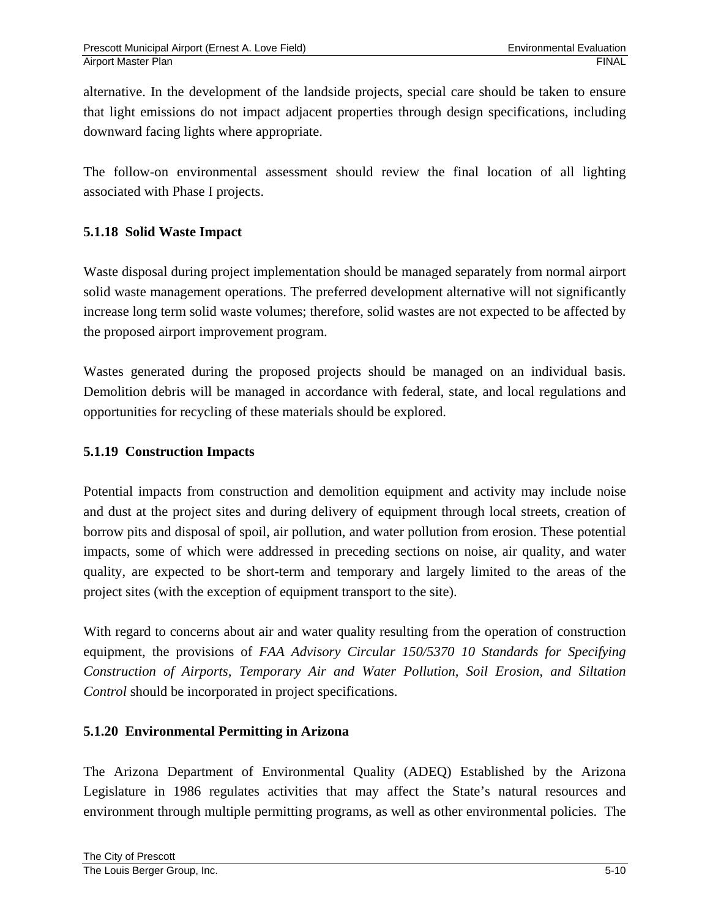alternative. In the development of the landside projects, special care should be taken to ensure that light emissions do not impact adjacent properties through design specifications, including downward facing lights where appropriate.

The follow-on environmental assessment should review the final location of all lighting associated with Phase I projects.

## **5.1.18 Solid Waste Impact**

Waste disposal during project implementation should be managed separately from normal airport solid waste management operations. The preferred development alternative will not significantly increase long term solid waste volumes; therefore, solid wastes are not expected to be affected by the proposed airport improvement program.

Wastes generated during the proposed projects should be managed on an individual basis. Demolition debris will be managed in accordance with federal, state, and local regulations and opportunities for recycling of these materials should be explored.

#### **5.1.19 Construction Impacts**

Potential impacts from construction and demolition equipment and activity may include noise and dust at the project sites and during delivery of equipment through local streets, creation of borrow pits and disposal of spoil, air pollution, and water pollution from erosion. These potential impacts, some of which were addressed in preceding sections on noise, air quality, and water quality, are expected to be short-term and temporary and largely limited to the areas of the project sites (with the exception of equipment transport to the site).

With regard to concerns about air and water quality resulting from the operation of construction equipment, the provisions of *FAA Advisory Circular 150/5370 10 Standards for Specifying Construction of Airports, Temporary Air and Water Pollution, Soil Erosion, and Siltation Control* should be incorporated in project specifications.

#### **5.1.20 Environmental Permitting in Arizona**

The Arizona Department of Environmental Quality (ADEQ) Established by the Arizona Legislature in 1986 regulates activities that may affect the State's natural resources and environment through multiple permitting programs, as well as other environmental policies. The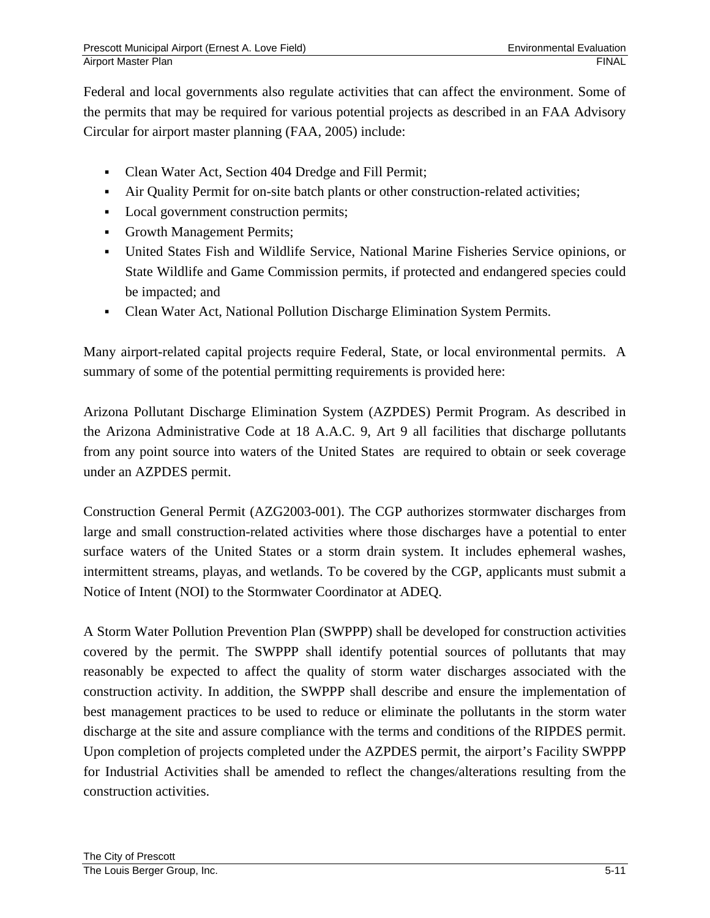Federal and local governments also regulate activities that can affect the environment. Some of the permits that may be required for various potential projects as described in an FAA Advisory Circular for airport master planning (FAA, 2005) include:

- Clean Water Act, Section 404 Dredge and Fill Permit;
- Air Quality Permit for on-site batch plants or other construction-related activities;
- Local government construction permits;
- Growth Management Permits;
- United States Fish and Wildlife Service, National Marine Fisheries Service opinions, or State Wildlife and Game Commission permits, if protected and endangered species could be impacted; and
- Clean Water Act, National Pollution Discharge Elimination System Permits.

Many airport-related capital projects require Federal, State, or local environmental permits. A summary of some of the potential permitting requirements is provided here:

Arizona Pollutant Discharge Elimination System (AZPDES) Permit Program. As described in the Arizona Administrative Code at 18 A.A.C. 9, Art 9 all facilities that discharge pollutants from any point source into waters of the United States are required to obtain or seek coverage under an AZPDES permit.

Construction General Permit (AZG2003-001). The CGP authorizes stormwater discharges from large and small construction-related activities where those discharges have a potential to enter surface waters of the United States or a storm drain system. It includes ephemeral washes, intermittent streams, playas, and wetlands. To be covered by the CGP, applicants must submit a Notice of Intent (NOI) to the Stormwater Coordinator at ADEQ.

A Storm Water Pollution Prevention Plan (SWPPP) shall be developed for construction activities covered by the permit. The SWPPP shall identify potential sources of pollutants that may reasonably be expected to affect the quality of storm water discharges associated with the construction activity. In addition, the SWPPP shall describe and ensure the implementation of best management practices to be used to reduce or eliminate the pollutants in the storm water discharge at the site and assure compliance with the terms and conditions of the RIPDES permit. Upon completion of projects completed under the AZPDES permit, the airport's Facility SWPPP for Industrial Activities shall be amended to reflect the changes/alterations resulting from the construction activities.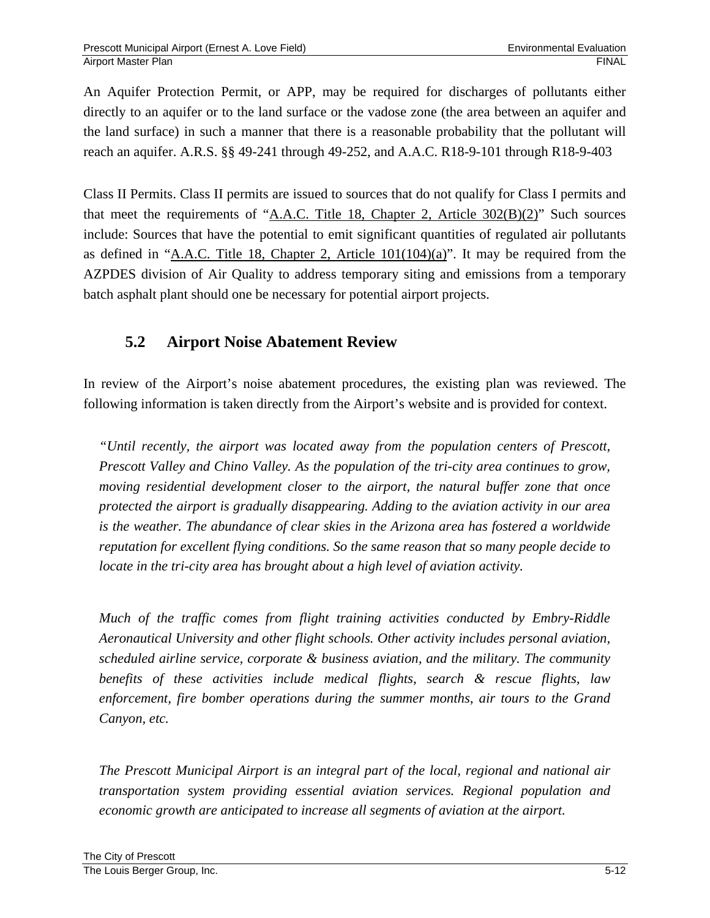An Aquifer Protection Permit, or APP, may be required for discharges of pollutants either directly to an aquifer or to the land surface or the vadose zone (the area between an aquifer and the land surface) in such a manner that there is a reasonable probability that the pollutant will reach an aquifer. A.R.S. §§ 49-241 through 49-252, and A.A.C. R18-9-101 through R18-9-403

Class II Permits. Class II permits are issued to sources that do not qualify for Class I permits and that meet the requirements of "A.A.C. Title 18, Chapter 2, Article  $302(B)(2)$ " Such sources include: Sources that have the potential to emit significant quantities of regulated air pollutants as defined in "A.A.C. Title 18, Chapter 2, Article  $101(104)(a)$ ". It may be required from the AZPDES division of Air Quality to address temporary siting and emissions from a temporary batch asphalt plant should one be necessary for potential airport projects.

# **5.2 Airport Noise Abatement Review**

In review of the Airport's noise abatement procedures, the existing plan was reviewed. The following information is taken directly from the Airport's website and is provided for context.

*"Until recently, the airport was located away from the population centers of Prescott, Prescott Valley and Chino Valley. As the population of the tri-city area continues to grow, moving residential development closer to the airport, the natural buffer zone that once protected the airport is gradually disappearing. Adding to the aviation activity in our area is the weather. The abundance of clear skies in the Arizona area has fostered a worldwide reputation for excellent flying conditions. So the same reason that so many people decide to locate in the tri-city area has brought about a high level of aviation activity.* 

*Much of the traffic comes from flight training activities conducted by Embry-Riddle Aeronautical University and other flight schools. Other activity includes personal aviation, scheduled airline service, corporate & business aviation, and the military. The community benefits of these activities include medical flights, search & rescue flights, law enforcement, fire bomber operations during the summer months, air tours to the Grand Canyon, etc.* 

*The Prescott Municipal Airport is an integral part of the local, regional and national air transportation system providing essential aviation services. Regional population and economic growth are anticipated to increase all segments of aviation at the airport.*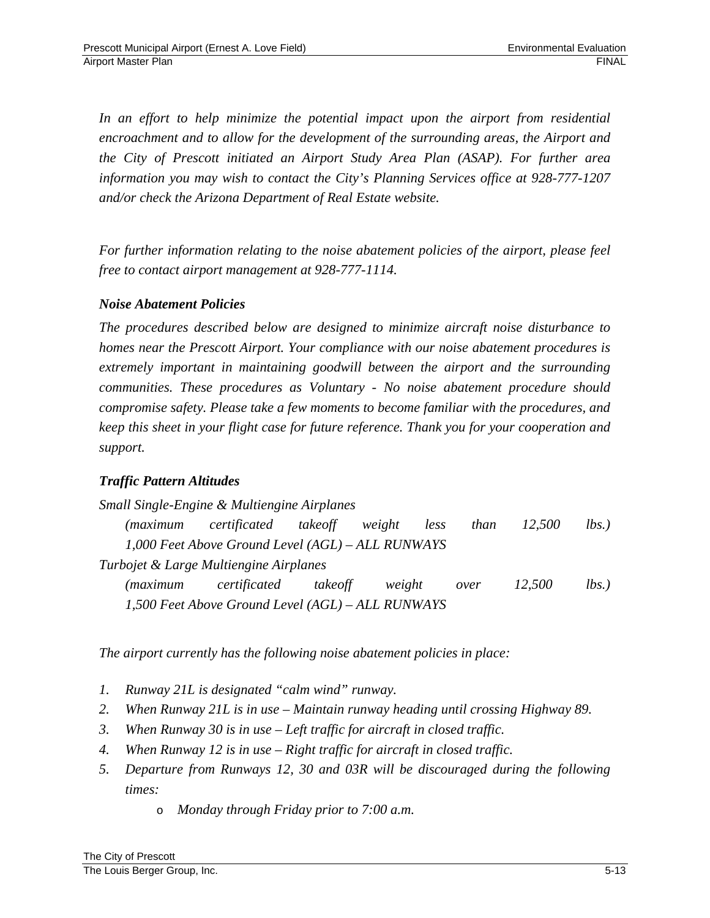In an effort to help minimize the potential impact upon the airport from residential *encroachment and to allow for the development of the surrounding areas, the Airport and the City of Prescott initiated an Airport Study Area Plan (ASAP). For further area information you may wish to contact the City's Planning Services office at 928-777-1207 and/or check the Arizona Department of Real Estate website.* 

*For further information relating to the noise abatement policies of the airport, please feel free to contact airport management at 928-777-1114.* 

## *Noise Abatement Policies*

*The procedures described below are designed to minimize aircraft noise disturbance to homes near the Prescott Airport. Your compliance with our noise abatement procedures is extremely important in maintaining goodwill between the airport and the surrounding communities. These procedures as Voluntary - No noise abatement procedure should compromise safety. Please take a few moments to become familiar with the procedures, and keep this sheet in your flight case for future reference. Thank you for your cooperation and support.* 

## *Traffic Pattern Altitudes*

*Small Single-Engine & Multiengine Airplanes (maximum certificated takeoff weight less than 12,500 lbs.) 1,000 Feet Above Ground Level (AGL) – ALL RUNWAYS Turbojet & Large Multiengine Airplanes (maximum certificated takeoff weight over 12,500 lbs.) 1,500 Feet Above Ground Level (AGL) – ALL RUNWAYS* 

*The airport currently has the following noise abatement policies in place:* 

- *1. Runway 21L is designated "calm wind" runway.*
- *2. When Runway 21L is in use Maintain runway heading until crossing Highway 89.*
- *3. When Runway 30 is in use Left traffic for aircraft in closed traffic.*
- *4. When Runway 12 is in use Right traffic for aircraft in closed traffic.*
- *5. Departure from Runways 12, 30 and 03R will be discouraged during the following times:* 
	- o *Monday through Friday prior to 7:00 a.m.*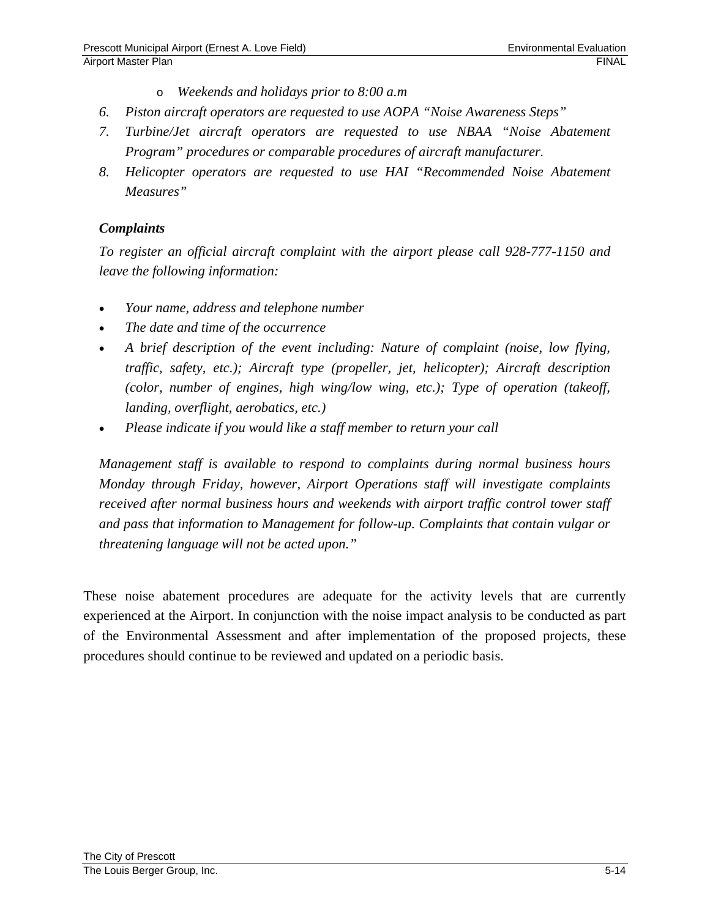- o *Weekends and holidays prior to 8:00 a.m*
- *6. Piston aircraft operators are requested to use AOPA "Noise Awareness Steps"*
- *7. Turbine/Jet aircraft operators are requested to use NBAA "Noise Abatement Program" procedures or comparable procedures of aircraft manufacturer.*
- *8. Helicopter operators are requested to use HAI "Recommended Noise Abatement Measures"*

#### *Complaints*

*To register an official aircraft complaint with the airport please call 928-777-1150 and leave the following information:* 

- *Your name, address and telephone number*
- *The date and time of the occurrence*
- *A brief description of the event including: Nature of complaint (noise, low flying, traffic, safety, etc.); Aircraft type (propeller, jet, helicopter); Aircraft description (color, number of engines, high wing/low wing, etc.); Type of operation (takeoff, landing, overflight, aerobatics, etc.)*
- *Please indicate if you would like a staff member to return your call*

*Management staff is available to respond to complaints during normal business hours Monday through Friday, however, Airport Operations staff will investigate complaints received after normal business hours and weekends with airport traffic control tower staff and pass that information to Management for follow-up. Complaints that contain vulgar or threatening language will not be acted upon."* 

These noise abatement procedures are adequate for the activity levels that are currently experienced at the Airport. In conjunction with the noise impact analysis to be conducted as part of the Environmental Assessment and after implementation of the proposed projects, these procedures should continue to be reviewed and updated on a periodic basis.